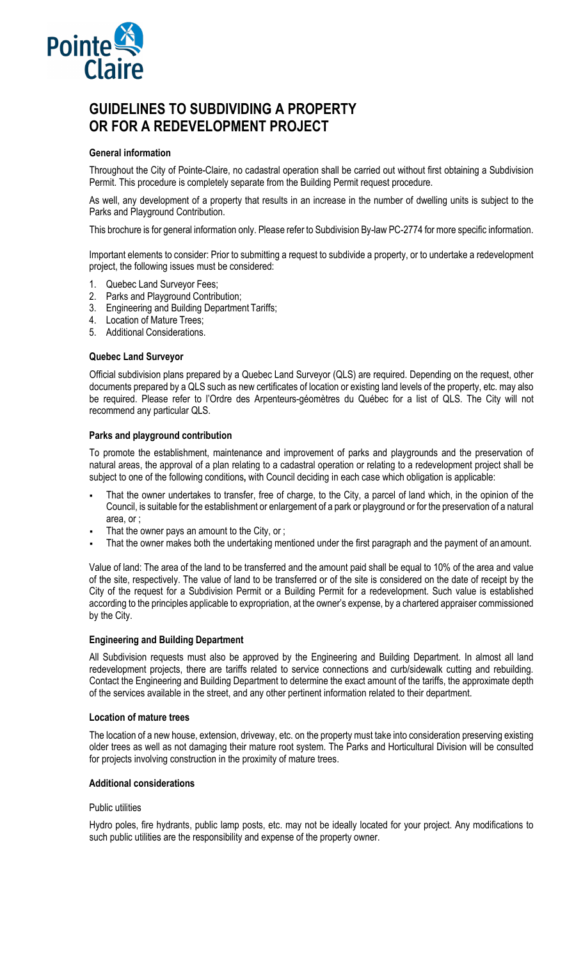

# **GUIDELINES TO SUBDIVIDING A PROPERTY OR FOR A REDEVELOPMENT PROJECT**

# **General information**

Throughout the City of Pointe-Claire, no cadastral operation shall be carried out without first obtaining a Subdivision Permit. This procedure is completely separate from the Building Permit request procedure.

As well, any development of a property that results in an increase in the number of dwelling units is subject to the Parks and Playground Contribution.

This brochure is for general information only. Please refer to Subdivision By-law PC-2774 for more specific information.

Important elements to consider: Prior to submitting a request to subdivide a property, or to undertake a redevelopment project, the following issues must be considered:

- 1. Quebec Land Surveyor Fees;
- 2. Parks and Playground Contribution;
- 3. Engineering and Building Department Tariffs;
- 4. Location of Mature Trees;
- 5. Additional Considerations.

### **Quebec Land Surveyor**

Official subdivision plans prepared by a Quebec Land Surveyor (QLS) are required. Depending on the request, other documents prepared by a QLS such as new certificates of location or existing land levels of the property, etc. may also be required. Please refer to l'Ordre des Arpenteurs-géomètres du Québec for a list of QLS. The City will not recommend any particular QLS.

#### **Parks and playground contribution**

To promote the establishment, maintenance and improvement of parks and playgrounds and the preservation of natural areas, the approval of a plan relating to a cadastral operation or relating to a redevelopment project shall be subject to one of the following conditions**,** with Council deciding in each case which obligation is applicable:

- That the owner undertakes to transfer, free of charge, to the City, a parcel of land which, in the opinion of the Council, is suitable for the establishment or enlargement of a park or playground or for the preservation of a natural area, or ;
- That the owner pays an amount to the City, or ;
- That the owner makes both the undertaking mentioned under the first paragraph and the payment of an amount.

Value of land: The area of the land to be transferred and the amount paid shall be equal to 10% of the area and value of the site, respectively. The value of land to be transferred or of the site is considered on the date of receipt by the City of the request for a Subdivision Permit or a Building Permit for a redevelopment. Such value is established according to the principles applicable to expropriation, at the owner's expense, by a chartered appraiser commissioned by the City.

#### **Engineering and Building Department**

All Subdivision requests must also be approved by the Engineering and Building Department. In almost all land redevelopment projects, there are tariffs related to service connections and curb/sidewalk cutting and rebuilding. Contact the Engineering and Building Department to determine the exact amount of the tariffs, the approximate depth of the services available in the street, and any other pertinent information related to their department.

#### **Location of mature trees**

The location of a new house, extension, driveway, etc. on the property must take into consideration preserving existing older trees as well as not damaging their mature root system. The Parks and Horticultural Division will be consulted for projects involving construction in the proximity of mature trees.

#### **Additional considerations**

## Public utilities

Hydro poles, fire hydrants, public lamp posts, etc. may not be ideally located for your project. Any modifications to such public utilities are the responsibility and expense of the property owner.